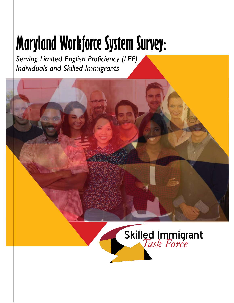# **Maryland Workforce System Survey:**

*Serving Limited English Proficiency (LEP) Individuals and Skilled Immigrants*

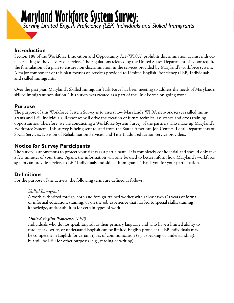# **Maryland Workforce System Survey:**

*Serving Limited English Proficiency (LEP) Individuals and Skilled Immigrants*

# **Introduction**

Section 188 of the Workforce Innovation and Opportunity Act (WIOA) prohibits discrimination against individuals relating to the delivery of services. The regulations released by the United States Department of Labor require the formulation of a plan to ensure non-discrimination in the services provided by Maryland's workforce system. A major component of this plan focuses on services provided to Limited English Proficiency (LEP) Individuals and skilled immigrants.

Over the past year, Maryland's Skilled Immigrant Task Force has been meeting to address the needs of Maryland's skilled immigrant population. This survey was created as a part of the Task Force's on-going work.

# **Purpose**

The purpose of this Workforce System Survey is to assess how Maryland's WIOA network serves skilled immigrants and LEP individuals. Responses will drive the creation of future technical assistance and cross training opportunities. Therefore, we are conducting a Workforce System Survey of the partners who make up Maryland's Workforce System. This survey is being sent to staff from the State's American Job Centers, Local Departments of Social Services, Division of Rehabilitation Services, and Title II adult education service providers.

# **Notice for Survey Participants**

The survey is anonymous to protect your rights as a participant. It is completely confidential and should only take a few minutes of your time. Again, the information will only be used to better inform how Maryland's workforce system can provide services to LEP Individuals and skilled immigrants. Thank you for your participation.

# **Definitions**

For the purpose of the activity, the following terms are defined as follows:

#### *Skilled Immigrant*

A work-authorized foreign-born and foreign-trained worker with at least two (2) years of formal or informal education, training, or on the job experience that has led to special skills, training, knowledge, and/or abilities for certain types of work

#### *Limited English Proficiency (LEP)*

Individuals who do not speak English as their primary language and who have a limited ability to read, speak, write, or understand English can be limited English proficient. LEP individuals may be competent in English for certain types of communication (e.g., speaking or understanding), but still be LEP for other purposes (e.g., reading or writing).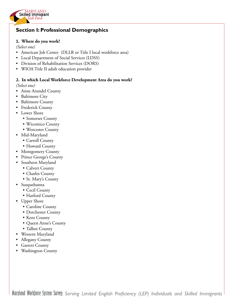

# **Section I: Professional Demographics**

#### **1. Where do you work?**

*(Select one)*

- American Job Center (DLLR or Title I local workforce area)
- Local Department of Social Services (LDSS)
- Division of Rehabilitation Services (DORS)
- WIOA Title II adult education provider

#### **2. In which Local Workforce Development Area do you work?**

*(Select one)*

- Anne Arundel County
- Baltimore City
- Baltimore County
- Frederick County
- Lower Shore
	- Somerset County
	- Wicomico County
	- Worcester County
- Mid-Maryland
	- Carroll County
	- Howard County
- Montgomery County
- Prince George's County
- Southern Maryland
	- Calvert County
	- Charles County
	- St. Mary's County
- Susquehanna
	- Cecil County
	- Harford County
- Upper Shore
	- Caroline County
	- Dorchester County
	- Kent County
	- Queen Anne's County
	- Talbot County
- Western Maryland
- Allegany County
- Garrett County
- Washington County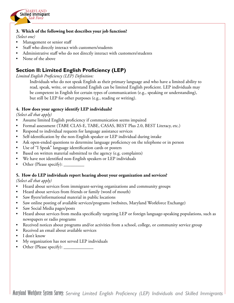

#### **3. Which of the following best describes your job function?**

*(Select one)*

- Management or senior staff
- Staff who directly interact with customers/students
- Administrative staff who do not directly interact with customers/students
- None of the above

# **Section II: Limited English Proficiency (LEP)**

*Limited English Proficiency (LEP) Definition:*

Individuals who do not speak English as their primary language and who have a limited ability to read, speak, write, or understand English can be limited English proficient. LEP individuals may be competent in English for certain types of communication (e.g., speaking or understanding), but still be LEP for other purposes (e.g., reading or writing).

#### **4. How does your agency identify LEP individuals?**

*(Select all that apply)*

- Assume limited English proficiency if communication seems impaired
- Formal assessment (TABE CLAS-E, TABE, CASAS, BEST Plus 2.0, BEST Literacy, etc.)
- Respond to individual requests for language assistance services
- Self-identification by the non-English speaker or LEP individual during intake
- Ask open-ended questions to determine language proficiency on the telephone or in person
- Use of "I Speak" language identification cards or posters
- Based on written material submitted to the agency (e.g. complaints)
- We have not identified non-English speakers or LEP individuals
- Other (Please specify):

#### **5. How do LEP individuals report hearing about your organization and services?**

*(Select all that apply)*

- Heard about services from immigrant-serving organizations and community groups
- Heard about services from friends or family (word of mouth)
- Saw flyers/informational material in public locations
- Saw online posting of available services/programs (websites, Maryland Workforce Exchange)
- Saw Social Media pages/posts
- Heard about services from media specifically targeting LEP or foreign language-speaking populations, such as newspapers or radio programs
- Received notices about programs and/or activities from a school, college, or community service group
- Received an email about available services
- I don't know
- My organization has not served LEP individuals
- Other (Please specify):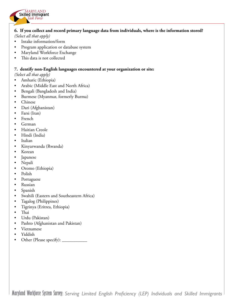

#### **6. If you collect and record primary language data from individuals, where is the information stored?**

*(Select all that apply)*

- Intake information/form
- Program application or database system
- Maryland Workforce Exchange
- This data is not collected

#### **7. dentify non-English languages encountered at your organization or site:**

*(Select all that apply)*

- Amharic (Ethiopia)
- Arabic (Middle East and North Africa)
- Bengali (Bangladesh and India)
- Burmese (Myanmar, formerly Burma)
- Chinese
- Dari (Afghanistan)
- Farsi (Iran)
- French
- German
- Haitian Creole
- Hindi (India)
- Italian
- Kinyarwanda (Rwanda)
- Korean
- **Japanese**
- Nepali
- Oromo (Ethiopia)
- Polish
- **Portuguese**
- Russian
- Spanish
- Swahili (Eastern and Southeastern Africa)
- Tagalog (Philippines)
- Tigrinya (Eritrea, Ethiopia)
- Thai
- Urdu (Pakistan)
- Pashto (Afghanistan and Pakistan)
- Vietnamese
- Yiddish
- Other (Please specify): \_\_\_\_\_\_\_\_\_\_\_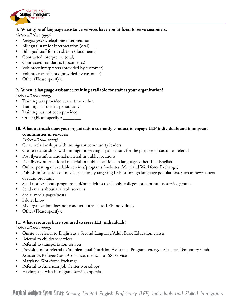#### **8. What type of language assistance services have you utilized to serve customers?**

*(Select all that apply)*

Skilled Immigrant *Task Force* MARYLAND

- *• LanguageLine*/telephone interpretation
- Bilingual staff for interpretation (oral)
- Bilingual staff for translation (documents)
- Contracted interpreters (oral)
- Contracted translators (documents)
- Volunteer interpreters (provided by customer)
- Volunteer translators (provided by customer)
- Other (Please specify): \_\_\_\_\_\_\_

#### **9. When is language assistance training available for staff at your organization?**

*(Select all that apply)* 

- Training was provided at the time of hire
- Training is provided periodically
- Training has not been provided
- Other (Please specify):

#### **10. What outreach does your organization currently conduct to engage LEP individuals and immigrant communities in services?**

*(Select all that apply)*

- Create relationships with immigrant community leaders
- Create relationships with immigrant-serving organizations for the purpose of customer referral
- Post flyers/informational material in public locations
- Post flyers/informational material in public locations in languages other than English
- Online posting of available services/programs (websites, Maryland Workforce Exchange)
- Publish information on media specifically targeting LEP or foreign language populations, such as newspapers or radio programs
- Send notices about programs and/or activities to schools, colleges, or community service groups
- Send emails about available services
- Social media pages/posts
- I don't know
- My organization does not conduct outreach to LEP individuals
- Other (Please specify):

#### **11. What resources have you used to serve LEP individuals?**

#### *(Select all that apply)*

- Onsite or referral to English as a Second Language/Adult Basic Education classes
- Referral to childcare services
- Referral to transportation services
- Provision of or referral to Supplemental Nutrition Assistance Program, energy assistance, Temporary Cash Assistance/Refugee Cash Assistance, medical, or SSI services
- Maryland Workforce Exchange
- Referral to American Job Center workshops
- Having staff with immigrant-service expertise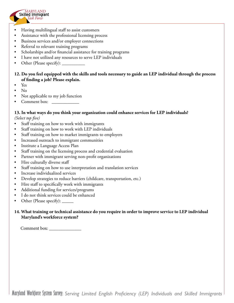

- Assistance with the professional licensing process
- Business services and/or employer connections
- Referral to relevant training programs
- Scholarships and/or financial assistance for training programs
- I have not utilized any resources to serve LEP individuals
- Other (Please specify):
- **12. Do you feel equipped with the skills and tools necessary to guide an LEP individual through the process of finding a job? Please explain.**
- Yes
- No
- Not applicable to my job function
- Comment box:

Skilled Immigrant *Task Force* MARYLAND

### **13. In what ways do you think your organization could enhance services for LEP individuals?**

*(Select top five)*

- Staff training on how to work with immigrants
- Staff training on how to work with LEP individuals
- Staff training on how to market immigrants to employers
- Increased outreach to immigrant communities
- Institute a Language Access Plan
- Staff training on the licensing process and credential evaluation
- Partner with immigrant serving non-profit organizations
- Hire culturally diverse staff
- Staff training on how to use interpretation and translation services
- Increase individualized services
- Develop strategies to reduce barriers (childcare, transportation, etc.)
- Hire staff to specifically work with immigrants
- Additional funding for services/programs
- I do not think services could be enhanced
- Other (Please specify): \_\_\_\_\_\_

#### **14. What training or technical assistance do you require in order to improve service to LEP individual Maryland's workforce system?**

Comment box: \_\_\_\_\_\_\_\_\_\_\_\_\_\_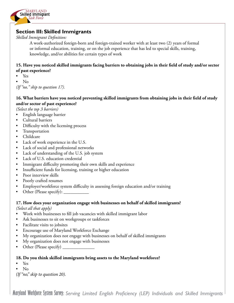

## **Section III: Skilled Immigrants**

#### *Skilled Immigrant Definition:*

A work-authorized foreign-born and foreign-trained worker with at least two (2) years of formal or informal education, training, or on the job experience that has led to special skills, training, knowledge, and/or abilities for certain types of work

#### **15. Have you noticed skilled immigrants facing barriers to obtaining jobs in their field of study and/or sector of past experience?**

- Yes
- No

*(If "no," skip to question 17).*

#### **16. What barriers have you noticed preventing skilled immigrants from obtaining jobs in their field of study and/or sector of past experience?**

*(Select the top 3 barriers)*

- English language barrier
- Cultural barriers
- Difficulty with the licensing process
- Transportation
- Childcare
- Lack of work experience in the U.S.
- Lack of social and professional networks
- Lack of understanding of the U.S. job system
- Lack of U.S. education credential
- Immigrant difficulty promoting their own skills and experience
- Insufficient funds for licensing, training or higher education
- Poor interview skills
- Poorly crafted resumes
- Employer/workforce system difficulty in assessing foreign education and/or training
- Other (Please specify):

# **17. How does your organization engage with businesses on behalf of skilled immigrants?**

*(Select all that apply)*

- Work with businesses to fill job vacancies with skilled immigrant labor
- Ask businesses to sit on workgroups or taskforces
- Facilitate visits to jobsites
- Encourage use of Maryland Workforce Exchange
- My organization does not engage with businesses on behalf of skilled immigrants
- My organization does not engage with businesses
- Other (Please specify)

#### **18. Do you think skilled immigrants bring assets to the Maryland workforce?**

- Yes
- No

*(If "no," skip to question 20).*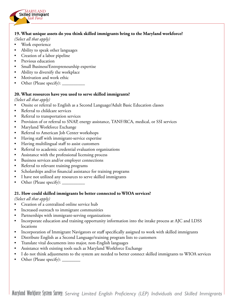

#### **19. What unique assets do you think skilled immigrants bring to the Maryland workforce?**

*(Select all that apply)*

- Work experience
- Ability to speak other languages
- Creation of a labor pipeline
- Previous education
- Small Business/Entrepreneurship expertise
- Ability to diversify the workplace
- Motivation and work ethic
- Other (Please specify): \_

#### **20. What resources have you used to serve skilled immigrants?**

*(Select all that apply)* 

- Onsite or referral to English as a Second Language/Adult Basic Education classes
- Referral to childcare services
- Referral to transportation services
- Provision of or referral to SNAP, energy assistance, TANF/RCA, medical, or SSI services
- Maryland Workforce Exchange
- Referral to American Job Center workshops
- Having staff with immigrant-service expertise
- Having multilingual staff to assist customers
- Referral to academic credential evaluation organizations
- Assistance with the professional licensing process
- Business services and/or employer connections
- Referral to relevant training programs
- Scholarships and/or financial assistance for training programs
- I have not utilized any resources to serve skilled immigrants
- Other (Please specify):

#### **21. How could skilled immigrants be better connected to WIOA services?**

*(Select all that apply)* 

- Creation of a centralized online service hub
- Increased outreach to immigrant communities
- Partnerships with immigrant-serving organizations
- Incorporate education and training opportunity information into the intake process at AJC and LDSS locations
- Incorporation of Immigrant Navigators or staff specifically assigned to work with skilled immigrants
- Distribute English as a Second Language/training program lists to customers
- Translate vital documents into major, non-English languages
- Assistance with existing tools such as Maryland Workforce Exchange
- I do not think adjustments to the system are needed to better connect skilled immigrants to WIOA services
- Other (Please specify):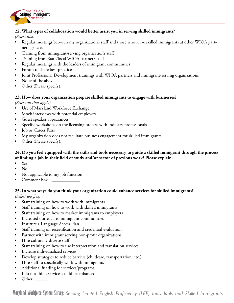

#### **22. What types of collaboration would better assist you in serving skilled immigrants?**

#### *(Select two)*

- Regular meetings between my organization's staff and those who serve skilled immigrants at other WIOA partner agencies
- Training from immigrant-serving organization's staff
- Training from State/local WIOA partner's staff
- Regular meetings with the leaders of immigrant communities
- Forum to share best practices
- Joint Professional Development trainings with WIOA partners and immigrant-serving organizations
- None of the above
- Other (Please specify):

#### **23. How does your organization prepare skilled immigrants to engage with businesses?**

*(Select all that apply)*

- Use of Maryland Workforce Exchange
- Mock interviews with potential employers
- Guest speaker appearances
- Specific workshops on the licensing process with industry professionals
- Job or Career Fairs
- My organization does not facilitate business engagement for skilled immigrants
- Other (Please specify):

#### **24. Do you feel equipped with the skills and tools necessary to guide a skilled immigrant through the process of finding a job in their field of study and/or sector of previous work? Please explain.**

- Yes
- No
- Not applicable to my job function
- Comment box:

# **25. In what ways do you think your organization could enhance services for skilled immigrants?**

*(Select top five)*

- Staff training on how to work with immigrants
- Staff training on how to work with skilled immigrants
- Staff training on how to market immigrants to employers
- Increased outreach to immigrant communities
- Institute a Language Access Plan
- Staff training on recertification and credential evaluation
- Partner with immigrant serving non-profit organizations
- Hire culturally diverse staff
- Staff training on how to use interpretation and translation services
- Increase individualized services
- Develop strategies to reduce barriers (childcare, transportation, etc.)
- Hire staff to specifically work with immigrants
- Additional funding for services/programs
- I do not think services could be enhanced
- Other:  $\_\_$